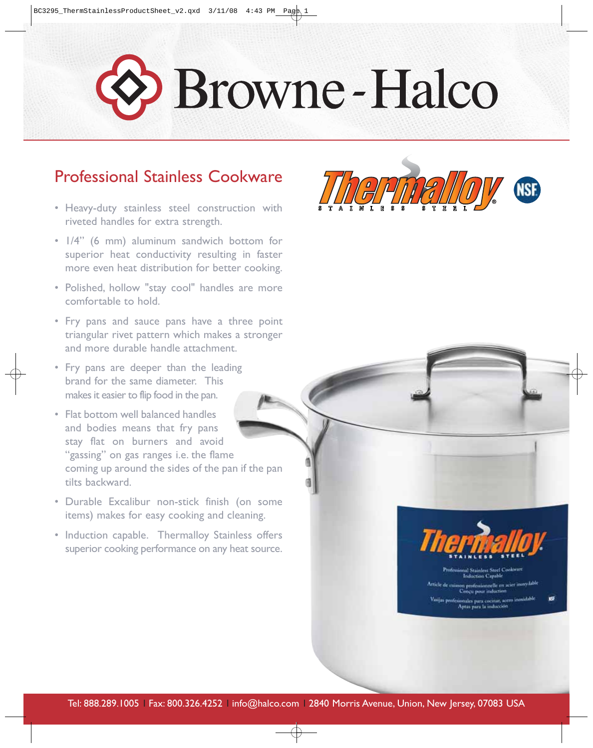## Browne-Halco

## Professional Stainless Cookware

- Heavy-duty stainless steel construction with riveted handles for extra strength.
- 1/4" (6 mm) aluminum sandwich bottom for superior heat conductivity resulting in faster more even heat distribution for better cooking.
- Polished, hollow "stay cool" handles are more comfortable to hold.
- Fry pans and sauce pans have a three point triangular rivet pattern which makes a stronger and more durable handle attachment.
- Fry pans are deeper than the leading brand for the same diameter. This makes it easier to flip food in the pan.
- Flat bottom well balanced handles and bodies means that fry pans stay flat on burners and avoid "gassing" on gas ranges i.e. the flame coming up around the sides of the pan if the pan tilts backward.
- Durable Excalibur non-stick finish (on some items) makes for easy cooking and cleaning.
- Induction capable. Thermalloy Stainless offers superior cooking performance on any heat source.





nal Stainless Steel Coolorare<br>Induction Capable n professionnelle en acier imm:<br>Zonçu pour induction nales para cocinar, acero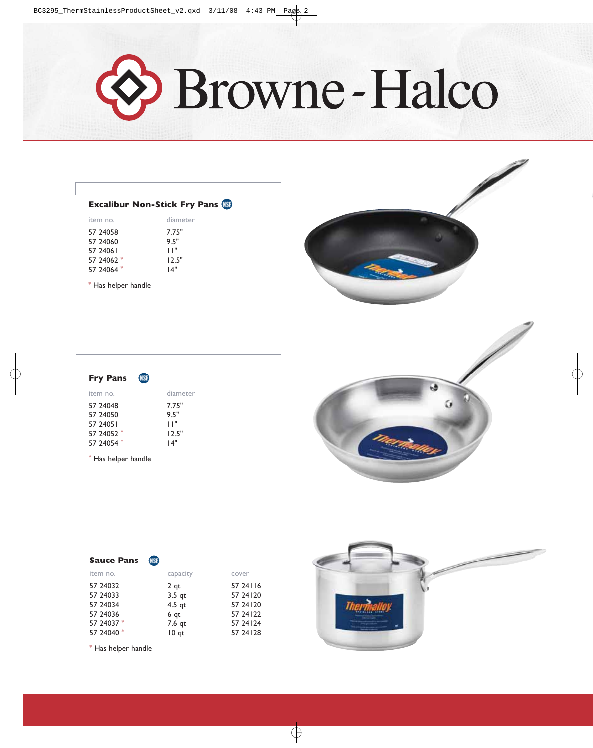O Browne-Halco

## **Excalibur Non-Stick Fry Pans (KSF)**

| item no.   | diameter |  |
|------------|----------|--|
| 57 24058   | 7.75"    |  |
| 57 24060   | 9.5"     |  |
| 57 24061   | "וו      |  |
| 57 24062 * | 12.5"    |  |
| 57 24064 * | "4 ا     |  |

\* Has helper handle

| <b>Fry Pans</b> | <b>NSF</b> |          |
|-----------------|------------|----------|
| item no.        |            | diameter |
| 57 24048        |            | 7.75"    |
| 57 24050        |            | 95"      |
| 57 24051        |            | '' ا     |
| 57 24052 *      |            | 12.5"    |
| 57 24054 *      |            | "4 ا     |
|                 |            |          |

\* Has helper handle





| <b>Sauce Pans</b> | <b>NSF</b>      |            |
|-------------------|-----------------|------------|
| item no.          | capacity        | cover      |
| 57 24032          | 2 <sub>qt</sub> | 57 24 1 16 |
| 57 24033          | $3.5$ qt        | 57 24 1 20 |
| 57 24034          | $4.5$ qt        | 57 24 1 20 |
| 57 24036          | 6 <sub>qt</sub> | 57 24 1 22 |
| 57 24037 *        | 7.6 qt          | 57 24 1 24 |
| 57 24040 *        | $10$ qt         | 57 24 1 28 |

\* Has helper handle

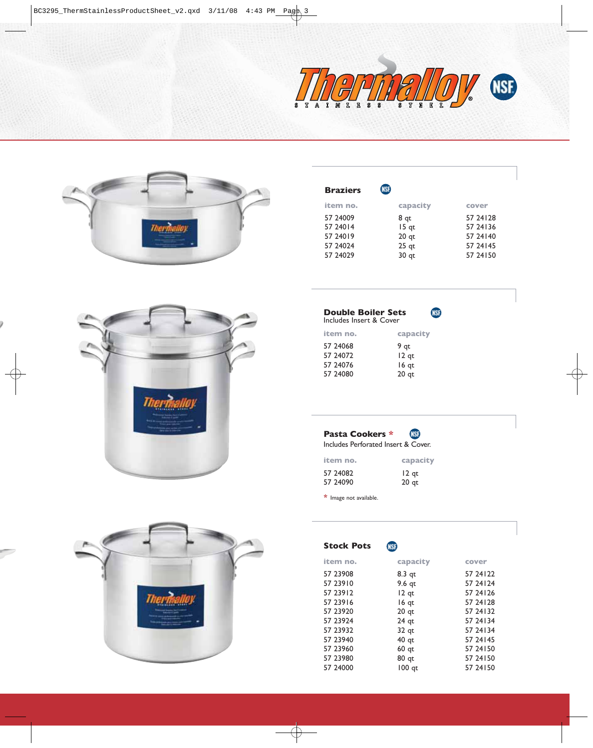



| <b>Braziers</b> | <b>NSF</b>       |            |
|-----------------|------------------|------------|
| item no.        | capacity         | cover      |
| 57 24009        | 8 gt             | 57 24 1 28 |
| 57 240 14       | $15$ qt          | 57 24 1 36 |
| 57 24019        | 20 <sub>qt</sub> | 57 24 140  |
| 57 24024        | $25$ qt          | 57 24 145  |
| 57 24029        | 30 qt            | 57 24 150  |
|                 |                  |            |



| <b>Double Boiler Sets</b><br>Includes Insert & Cover |                  |  |
|------------------------------------------------------|------------------|--|
| item no.                                             | capacity         |  |
| 57 24068                                             | 9 qt             |  |
| 57 24072                                             | $12$ qt          |  |
| 57 24076                                             | 16 qt            |  |
| 57 24080                                             | 20 <sub>qt</sub> |  |



| item no. | capacity         |
|----------|------------------|
| 57 24082 | $12$ qt          |
| 57 24090 | 20 <sub>qt</sub> |

**\*** Image not available.